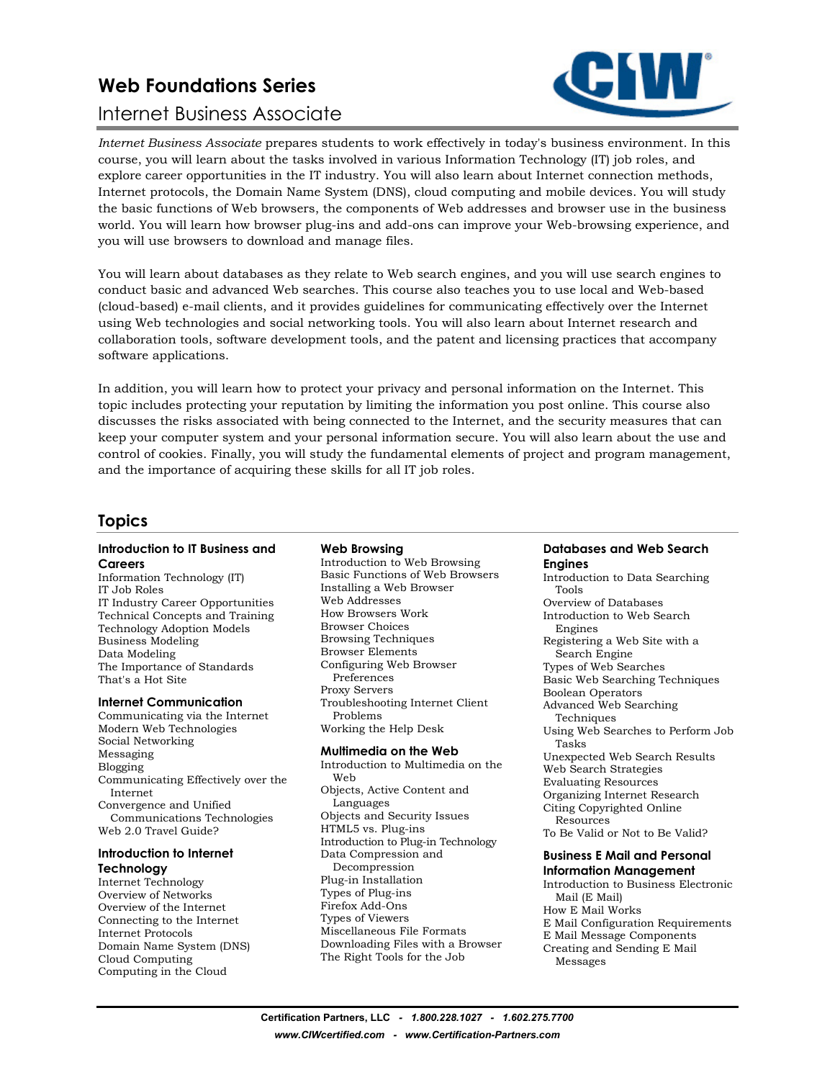# **Web Foundations Series**

# Internet Business Associate



*Internet Business Associate* prepares students to work effectively in today's business environment. In this course, you will learn about the tasks involved in various Information Technology (IT) job roles, and explore career opportunities in the IT industry. You will also learn about Internet connection methods, Internet protocols, the Domain Name System (DNS), cloud computing and mobile devices. You will study the basic functions of Web browsers, the components of Web addresses and browser use in the business world. You will learn how browser plug-ins and add-ons can improve your Web-browsing experience, and you will use browsers to download and manage files.

You will learn about databases as they relate to Web search engines, and you will use search engines to conduct basic and advanced Web searches. This course also teaches you to use local and Web-based (cloud-based) e-mail clients, and it provides guidelines for communicating effectively over the Internet using Web technologies and social networking tools. You will also learn about Internet research and collaboration tools, software development tools, and the patent and licensing practices that accompany software applications.

In addition, you will learn how to protect your privacy and personal information on the Internet. This topic includes protecting your reputation by limiting the information you post online. This course also discusses the risks associated with being connected to the Internet, and the security measures that can keep your computer system and your personal information secure. You will also learn about the use and control of cookies. Finally, you will study the fundamental elements of project and program management, and the importance of acquiring these skills for all IT job roles.

# **Topics**

#### **Introduction to IT Business and Careers**

Information Technology (IT) IT Job Roles IT Industry Career Opportunities Technical Concepts and Training Technology Adoption Models Business Modeling Data Modeling The Importance of Standards That's a Hot Site

#### **Internet Communication**

Communicating via the Internet Modern Web Technologies Social Networking Messaging Blogging Communicating Effectively over the Internet Convergence and Unified Communications Technologies Web 2.0 Travel Guide?

#### **Introduction to Internet Technology**

Internet Technology Overview of Networks Overview of the Internet Connecting to the Internet Internet Protocols Domain Name System (DNS) Cloud Computing Computing in the Cloud

### **Web Browsing**

Introduction to Web Browsing Basic Functions of Web Browsers Installing a Web Browser Web Addresses How Browsers Work Browser Choices Browsing Techniques Browser Elements Configuring Web Browser Preferences Proxy Servers Troubleshooting Internet Client Problems Working the Help Desk

### **Multimedia on the Web**

Introduction to Multimedia on the Web Objects, Active Content and Languages Objects and Security Issues HTML5 vs. Plug-ins Introduction to Plug-in Technology Data Compression and Decompression Plug-in Installation Types of Plug-ins Firefox Add-Ons Types of Viewers Miscellaneous File Formats Downloading Files with a Browser The Right Tools for the Job

### **Databases and Web Search Engines**

Introduction to Data Searching Tools Overview of Databases Introduction to Web Search Engines Registering a Web Site with a Search Engine Types of Web Searches Basic Web Searching Techniques Boolean Operators Advanced Web Searching Techniques Using Web Searches to Perform Job Tasks Unexpected Web Search Results Web Search Strategies Evaluating Resources Organizing Internet Research Citing Copyrighted Online Resources To Be Valid or Not to Be Valid?

### **Business E Mail and Personal**

**Information Management**  Introduction to Business Electronic Mail (E Mail) How E Mail Works E Mail Configuration Requirements E Mail Message Components Creating and Sending E Mail Messages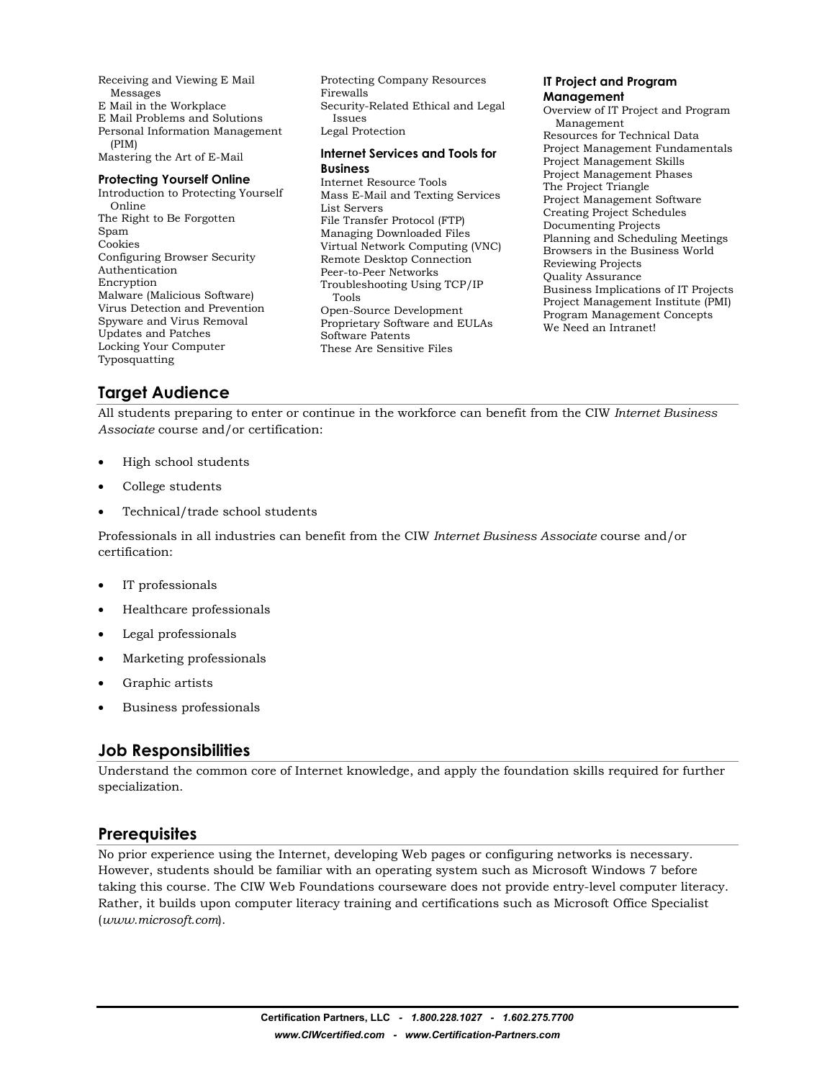Receiving and Viewing E Mail Messages E Mail in the Workplace E Mail Problems and Solutions Personal Information Management (PIM) Mastering the Art of E-Mail

**Protecting Yourself Online**  Introduction to Protecting Yourself Online The Right to Be Forgotten Spam Cookies Configuring Browser Security Authentication Encryption Malware (Malicious Software) Virus Detection and Prevention Spyware and Virus Removal Updates and Patches Locking Your Computer Typosquatting

Protecting Company Resources Firewalls Security-Related Ethical and Legal Issues Legal Protection

#### **Internet Services and Tools for Business**

Internet Resource Tools Mass E-Mail and Texting Services List Servers File Transfer Protocol (FTP) Managing Downloaded Files Virtual Network Computing (VNC) Remote Desktop Connection Peer-to-Peer Networks Troubleshooting Using TCP/IP Tools Open-Source Development Proprietary Software and EULAs Software Patents These Are Sensitive Files

#### **IT Project and Program Management**

Overview of IT Project and Program Management Resources for Technical Data Project Management Fundamentals Project Management Skills Project Management Phases The Project Triangle Project Management Software Creating Project Schedules Documenting Projects Planning and Scheduling Meetings Browsers in the Business World Reviewing Projects Quality Assurance Business Implications of IT Projects Project Management Institute (PMI) Program Management Concepts We Need an Intranet!

# **Target Audience**

All students preparing to enter or continue in the workforce can benefit from the CIW *Internet Business Associate* course and/or certification:

- High school students
- College students
- Technical/trade school students

Professionals in all industries can benefit from the CIW *Internet Business Associate* course and/or certification:

- IT professionals
- Healthcare professionals
- Legal professionals
- Marketing professionals
- Graphic artists
- Business professionals

# **Job Responsibilities**

Understand the common core of Internet knowledge, and apply the foundation skills required for further specialization.

### **Prerequisites**

No prior experience using the Internet, developing Web pages or configuring networks is necessary. However, students should be familiar with an operating system such as Microsoft Windows 7 before taking this course. The CIW Web Foundations courseware does not provide entry-level computer literacy. Rather, it builds upon computer literacy training and certifications such as Microsoft Office Specialist (*www.microsoft.com*).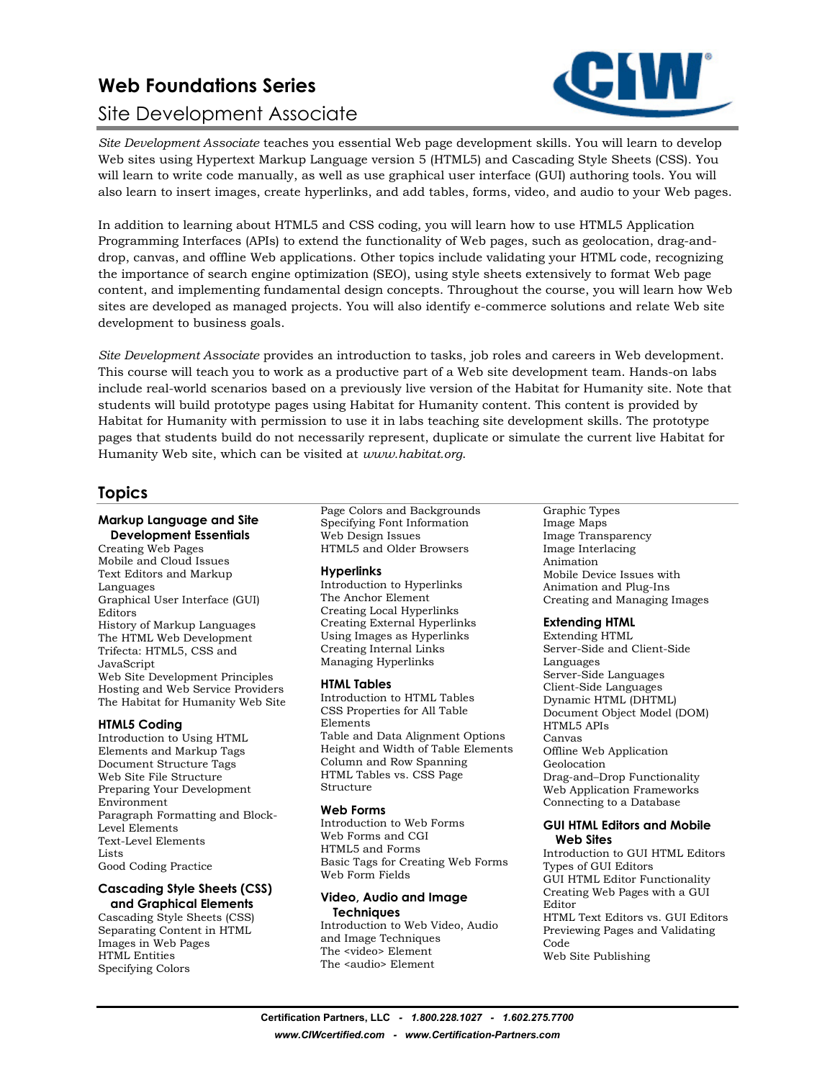# **Web Foundations Series**  Site Development Associate



*Site Development Associate* teaches you essential Web page development skills. You will learn to develop Web sites using Hypertext Markup Language version 5 (HTML5) and Cascading Style Sheets (CSS). You will learn to write code manually, as well as use graphical user interface (GUI) authoring tools. You will also learn to insert images, create hyperlinks, and add tables, forms, video, and audio to your Web pages.

In addition to learning about HTML5 and CSS coding, you will learn how to use HTML5 Application Programming Interfaces (APIs) to extend the functionality of Web pages, such as geolocation, drag-anddrop, canvas, and offline Web applications. Other topics include validating your HTML code, recognizing the importance of search engine optimization (SEO), using style sheets extensively to format Web page content, and implementing fundamental design concepts. Throughout the course, you will learn how Web sites are developed as managed projects. You will also identify e-commerce solutions and relate Web site development to business goals.

*Site Development Associate* provides an introduction to tasks, job roles and careers in Web development. This course will teach you to work as a productive part of a Web site development team. Hands-on labs include real-world scenarios based on a previously live version of the Habitat for Humanity site. Note that students will build prototype pages using Habitat for Humanity content. This content is provided by Habitat for Humanity with permission to use it in labs teaching site development skills. The prototype pages that students build do not necessarily represent, duplicate or simulate the current live Habitat for Humanity Web site, which can be visited at *www.habitat.org*.

### **Topics**

### **Markup Language and Site**

**Development Essentials**  Creating Web Pages Mobile and Cloud Issues Text Editors and Markup Languages Graphical User Interface (GUI) Editors History of Markup Languages The HTML Web Development Trifecta: HTML5, CSS and JavaScript Web Site Development Principles Hosting and Web Service Providers The Habitat for Humanity Web Site

### **HTML5 Coding**

Introduction to Using HTML Elements and Markup Tags Document Structure Tags Web Site File Structure Preparing Your Development Environment Paragraph Formatting and Block-Level Elements Text-Level Elements Lists Good Coding Practice

#### **Cascading Style Sheets (CSS) and Graphical Elements**

Cascading Style Sheets (CSS) Separating Content in HTML Images in Web Pages HTML Entities Specifying Colors

Page Colors and Backgrounds Specifying Font Information Web Design Issues HTML5 and Older Browsers

### **Hyperlinks**

Introduction to Hyperlinks The Anchor Element Creating Local Hyperlinks Creating External Hyperlinks Using Images as Hyperlinks Creating Internal Links Managing Hyperlinks

### **HTML Tables**

Introduction to HTML Tables CSS Properties for All Table Elements Table and Data Alignment Options Height and Width of Table Elements Column and Row Spanning HTML Tables vs. CSS Page Structure

#### **Web Forms**

Introduction to Web Forms Web Forms and CGI HTML5 and Forms Basic Tags for Creating Web Forms Web Form Fields

#### **Video, Audio and Image Techniques**

Introduction to Web Video, Audio and Image Techniques The <video> Element The <audio> Element

#### Graphic Types Image Maps Image Transparency Image Interlacing Animation Mobile Device Issues with Animation and Plug-Ins Creating and Managing Images

### **Extending HTML**

Extending HTML Server-Side and Client-Side Languages Server-Side Languages Client-Side Languages Dynamic HTML (DHTML) Document Object Model (DOM) HTML5 APIs Canvas Offline Web Application Geolocation Drag-and–Drop Functionality Web Application Frameworks Connecting to a Database

#### **GUI HTML Editors and Mobile Web Sites**

Introduction to GUI HTML Editors Types of GUI Editors GUI HTML Editor Functionality Creating Web Pages with a GUI Editor HTML Text Editors vs. GUI Editors Previewing Pages and Validating Code Web Site Publishing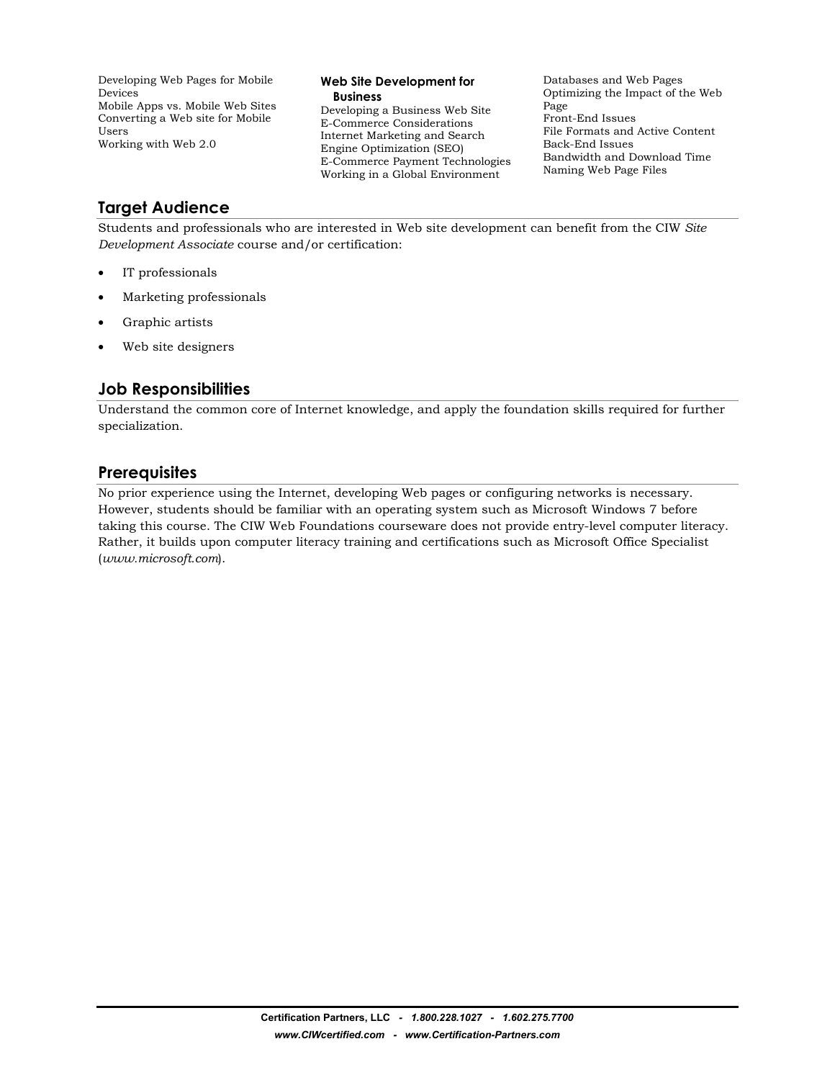Developing Web Pages for Mobile Devices Mobile Apps vs. Mobile Web Sites Converting a Web site for Mobile Users Working with Web 2.0

#### **Web Site Development for Business**

Developing a Business Web Site E-Commerce Considerations Internet Marketing and Search Engine Optimization (SEO) E-Commerce Payment Technologies Working in a Global Environment

Databases and Web Pages Optimizing the Impact of the Web Page Front-End Issues File Formats and Active Content Back-End Issues Bandwidth and Download Time Naming Web Page Files

# **Target Audience**

Students and professionals who are interested in Web site development can benefit from the CIW *Site Development Associate* course and/or certification:

- IT professionals
- Marketing professionals
- Graphic artists
- Web site designers

# **Job Responsibilities**

Understand the common core of Internet knowledge, and apply the foundation skills required for further specialization.

### **Prerequisites**

No prior experience using the Internet, developing Web pages or configuring networks is necessary. However, students should be familiar with an operating system such as Microsoft Windows 7 before taking this course. The CIW Web Foundations courseware does not provide entry-level computer literacy. Rather, it builds upon computer literacy training and certifications such as Microsoft Office Specialist (*www.microsoft.com*).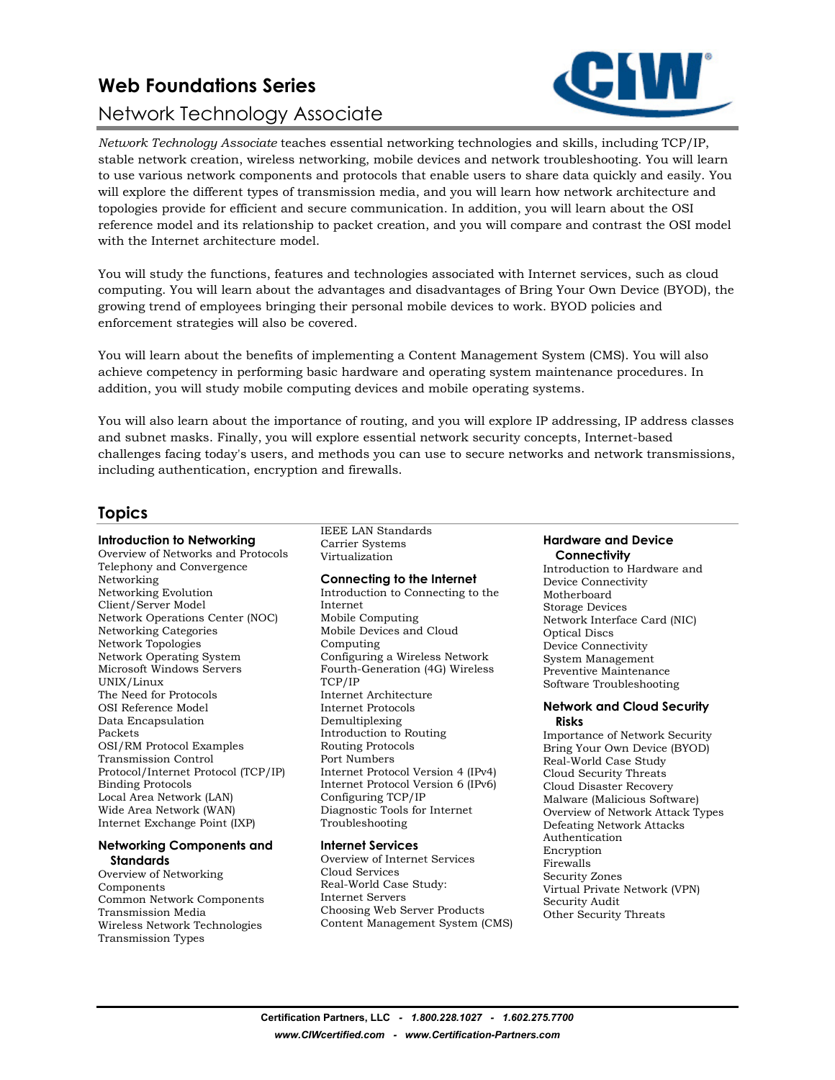# **Web Foundations Series**  Network Technology Associate



*Network Technology Associate* teaches essential networking technologies and skills, including TCP/IP, stable network creation, wireless networking, mobile devices and network troubleshooting. You will learn to use various network components and protocols that enable users to share data quickly and easily. You will explore the different types of transmission media, and you will learn how network architecture and topologies provide for efficient and secure communication. In addition, you will learn about the OSI reference model and its relationship to packet creation, and you will compare and contrast the OSI model with the Internet architecture model.

You will study the functions, features and technologies associated with Internet services, such as cloud computing. You will learn about the advantages and disadvantages of Bring Your Own Device (BYOD), the growing trend of employees bringing their personal mobile devices to work. BYOD policies and enforcement strategies will also be covered.

You will learn about the benefits of implementing a Content Management System (CMS). You will also achieve competency in performing basic hardware and operating system maintenance procedures. In addition, you will study mobile computing devices and mobile operating systems.

You will also learn about the importance of routing, and you will explore IP addressing, IP address classes and subnet masks. Finally, you will explore essential network security concepts, Internet-based challenges facing today's users, and methods you can use to secure networks and network transmissions, including authentication, encryption and firewalls.

# **Topics**

### **Introduction to Networking**

Overview of Networks and Protocols Telephony and Convergence Networking Networking Evolution Client/Server Model Network Operations Center (NOC) Networking Categories Network Topologies Network Operating System Microsoft Windows Servers UNIX/Linux The Need for Protocols OSI Reference Model Data Encapsulation Packets OSI/RM Protocol Examples Transmission Control Protocol/Internet Protocol (TCP/IP) Binding Protocols Local Area Network (LAN) Wide Area Network (WAN) Internet Exchange Point (IXP)

#### **Networking Components and Standards**

Overview of Networking Components Common Network Components Transmission Media Wireless Network Technologies Transmission Types

IEEE LAN Standards Carrier Systems Virtualization

### **Connecting to the Internet**

Introduction to Connecting to the Internet Mobile Computing Mobile Devices and Cloud Computing Configuring a Wireless Network Fourth-Generation (4G) Wireless TCP/IP Internet Architecture Internet Protocols Demultiplexing Introduction to Routing Routing Protocols Port Numbers Internet Protocol Version 4 (IPv4) Internet Protocol Version 6 (IPv6) Configuring TCP/IP Diagnostic Tools for Internet Troubleshooting

#### **Internet Services**

Overview of Internet Services Cloud Services Real-World Case Study: Internet Servers Choosing Web Server Products Content Management System (CMS)

#### **Hardware and Device Connectivity**

Introduction to Hardware and Device Connectivity Motherboard Storage Devices Network Interface Card (NIC) Optical Discs Device Connectivity System Management Preventive Maintenance Software Troubleshooting

#### **Network and Cloud Security Risks**

Importance of Network Security Bring Your Own Device (BYOD) Real-World Case Study Cloud Security Threats Cloud Disaster Recovery Malware (Malicious Software) Overview of Network Attack Types Defeating Network Attacks Authentication Encryption Firewalls Security Zones Virtual Private Network (VPN) Security Audit Other Security Threats